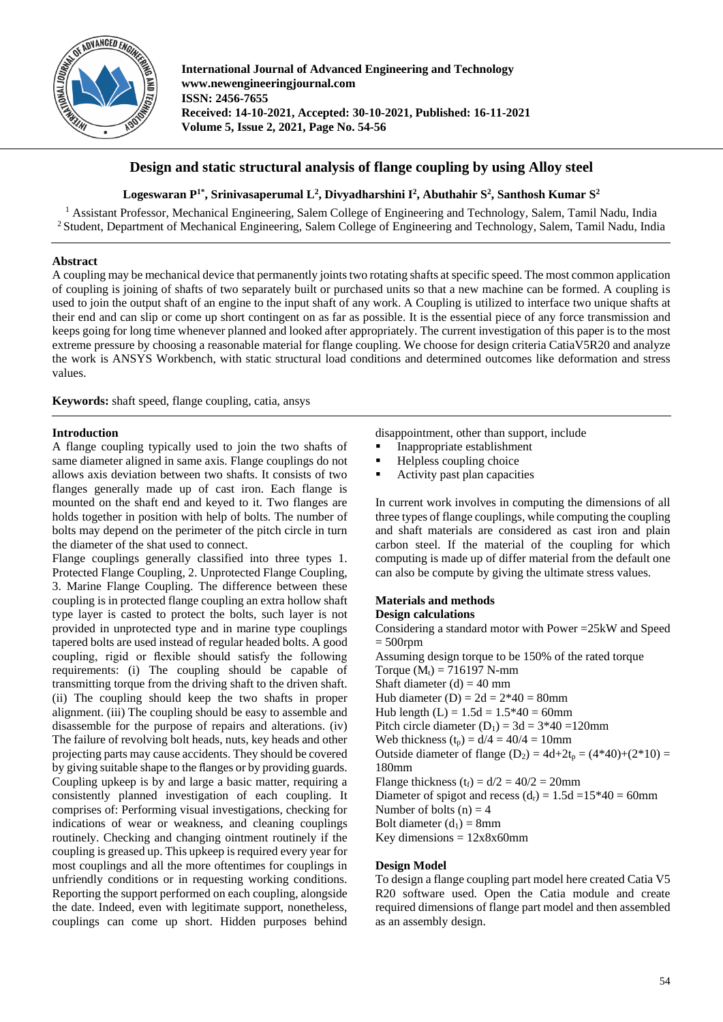

**International Journal of Advanced Engineering and Technology www.newengineeringjournal.com ISSN: 2456-7655 Received: 14-10-2021, Accepted: 30-10-2021, Published: 16-11-2021 Volume 5, Issue 2, 2021, Page No. 54-56** 

# **Design and static structural analysis of flange coupling by using Alloy steel**

## **Logeswaran P1\*, Srinivasaperumal L<sup>2</sup> , Divyadharshini I<sup>2</sup> , Abuthahir S 2 , Santhosh Kumar S<sup>2</sup>**

<sup>1</sup> Assistant Professor, Mechanical Engineering, Salem College of Engineering and Technology, Salem, Tamil Nadu, India <sup>2</sup> Student, Department of Mechanical Engineering, Salem College of Engineering and Technology, Salem, Tamil Nadu, India

## **Abstract**

A coupling may be mechanical device that permanently joints two rotating shafts at specific speed. The most common application of coupling is joining of shafts of two separately built or purchased units so that a new machine can be formed. A coupling is used to join the output shaft of an engine to the input shaft of any work. A Coupling is utilized to interface two unique shafts at their end and can slip or come up short contingent on as far as possible. It is the essential piece of any force transmission and keeps going for long time whenever planned and looked after appropriately. The current investigation of this paper is to the most extreme pressure by choosing a reasonable material for flange coupling. We choose for design criteria CatiaV5R20 and analyze the work is ANSYS Workbench, with static structural load conditions and determined outcomes like deformation and stress values.

**Keywords:** shaft speed, flange coupling, catia, ansys

## **Introduction**

A flange coupling typically used to join the two shafts of same diameter aligned in same axis. Flange couplings do not allows axis deviation between two shafts. It consists of two flanges generally made up of cast iron. Each flange is mounted on the shaft end and keyed to it. Two flanges are holds together in position with help of bolts. The number of bolts may depend on the perimeter of the pitch circle in turn the diameter of the shat used to connect.

Flange couplings generally classified into three types 1. Protected Flange Coupling, 2. Unprotected Flange Coupling, 3. Marine Flange Coupling. The difference between these coupling is in protected flange coupling an extra hollow shaft type layer is casted to protect the bolts, such layer is not provided in unprotected type and in marine type couplings tapered bolts are used instead of regular headed bolts. A good coupling, rigid or flexible should satisfy the following requirements: (i) The coupling should be capable of transmitting torque from the driving shaft to the driven shaft. (ii) The coupling should keep the two shafts in proper alignment. (iii) The coupling should be easy to assemble and disassemble for the purpose of repairs and alterations. (iv) The failure of revolving bolt heads, nuts, key heads and other projecting parts may cause accidents. They should be covered by giving suitable shape to the flanges or by providing guards. Coupling upkeep is by and large a basic matter, requiring a consistently planned investigation of each coupling. It comprises of: Performing visual investigations, checking for indications of wear or weakness, and cleaning couplings routinely. Checking and changing ointment routinely if the coupling is greased up. This upkeep is required every year for most couplings and all the more oftentimes for couplings in unfriendly conditions or in requesting working conditions. Reporting the support performed on each coupling, alongside the date. Indeed, even with legitimate support, nonetheless, couplings can come up short. Hidden purposes behind disappointment, other than support, include

- Inappropriate establishment
- Helpless coupling choice
- Activity past plan capacities

In current work involves in computing the dimensions of all three types of flange couplings, while computing the coupling and shaft materials are considered as cast iron and plain carbon steel. If the material of the coupling for which computing is made up of differ material from the default one can also be compute by giving the ultimate stress values.

# **Materials and methods**

## **Design calculations**

Considering a standard motor with Power =25kW and Speed  $= 500$ rpm Assuming design torque to be 150% of the rated torque Torque  $(M_t) = 716197$  N-mm Shaft diameter  $(d) = 40$  mm Hub diameter (D) =  $2d = 2*40 = 80$ mm Hub length  $(L) = 1.5d = 1.5*40 = 60$ mm Pitch circle diameter  $(D_1) = 3d = 3*40 = 120$ mm Web thickness  $(t_p) = d/4 = 40/4 = 10$ mm Outside diameter of flange  $(D_2) = 4d+2t_p = (4*40)+(2*10) =$ 180mm Flange thickness  $(t_f) = d/2 = 40/2 = 20$ mm Diameter of spigot and recess  $(d_r) = 1.5d = 15*40 = 60$ mm Number of bolts  $(n) = 4$ Bolt diameter  $(d_1) = 8$ mm Key dimensions  $= 12x8x60$ mm

## **Design Model**

To design a flange coupling part model here created Catia V5 R20 software used. Open the Catia module and create required dimensions of flange part model and then assembled as an assembly design.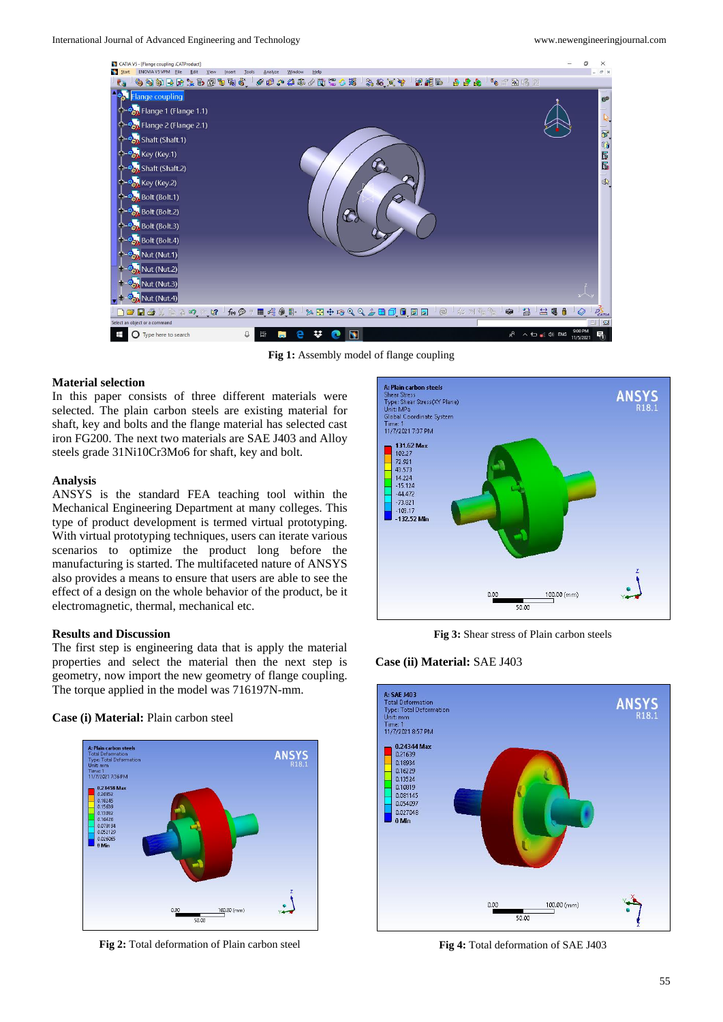

**Fig 1:** Assembly model of flange coupling

#### **Material selection**

In this paper consists of three different materials were selected. The plain carbon steels are existing material for shaft, key and bolts and the flange material has selected cast iron FG200. The next two materials are SAE J403 and Alloy steels grade 31Ni10Cr3Mo6 for shaft, key and bolt.

#### **Analysis**

ANSYS is the standard FEA teaching tool within the Mechanical Engineering Department at many colleges. This type of product development is termed virtual prototyping. With virtual prototyping techniques, users can iterate various scenarios to optimize the product long before the manufacturing is started. The multifaceted nature of ANSYS also provides a means to ensure that users are able to see the effect of a design on the whole behavior of the product, be it electromagnetic, thermal, mechanical etc.

#### **Results and Discussion**

The first step is engineering data that is apply the material properties and select the material then the next step is geometry, now import the new geometry of flange coupling. The torque applied in the model was 716197N-mm.

**Case (i) Material:** Plain carbon steel



**Fig 2:** Total deformation of Plain carbon steel



**Fig 3:** Shear stress of Plain carbon steels





**Fig 4:** Total deformation of SAE J403